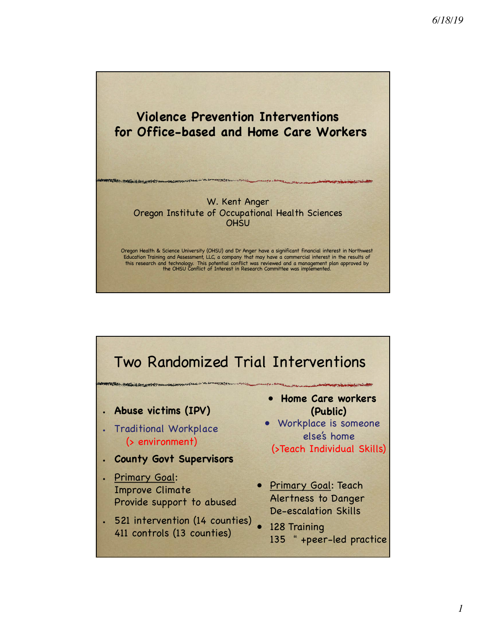

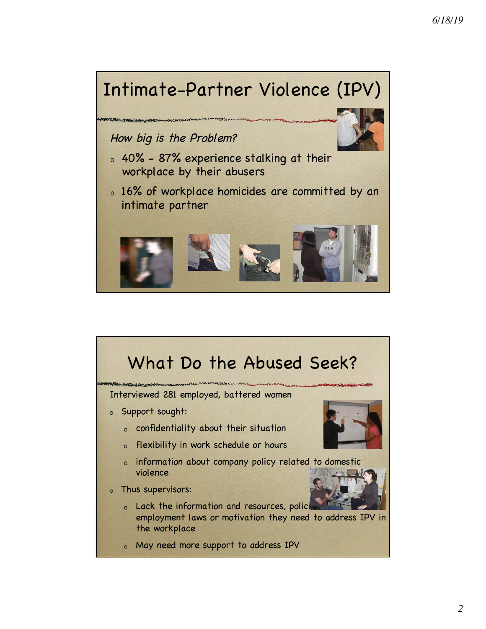

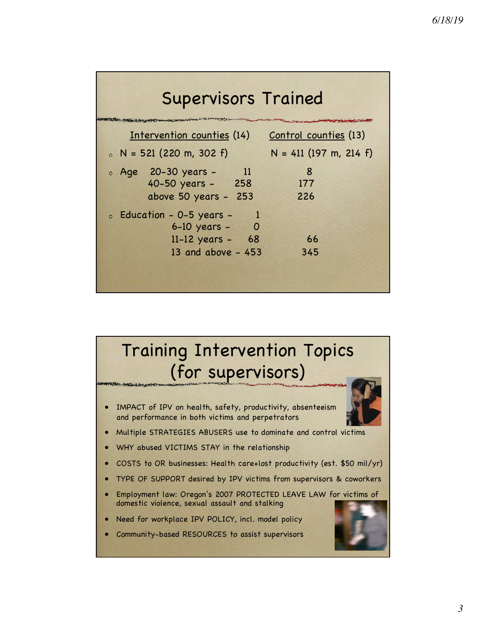| <b>Supervisors Trained</b>                                                                        |                          |  |  |  |
|---------------------------------------------------------------------------------------------------|--------------------------|--|--|--|
| Intervention counties (14)                                                                        | Control counties (13)    |  |  |  |
| $N = 521 (220 m, 302 f)$                                                                          | $N = 411$ (197 m, 214 f) |  |  |  |
| o Age 20-30 years -<br>$\sim$ 11<br>40-50 years - 258<br>above 50 years - 253                     | 8<br>177<br>226          |  |  |  |
| $\circ$ Education - 0-5 years -<br>$6-10$ years $-$ 0<br>$11-12$ years - 68<br>13 and above - 453 | 66<br>345                |  |  |  |

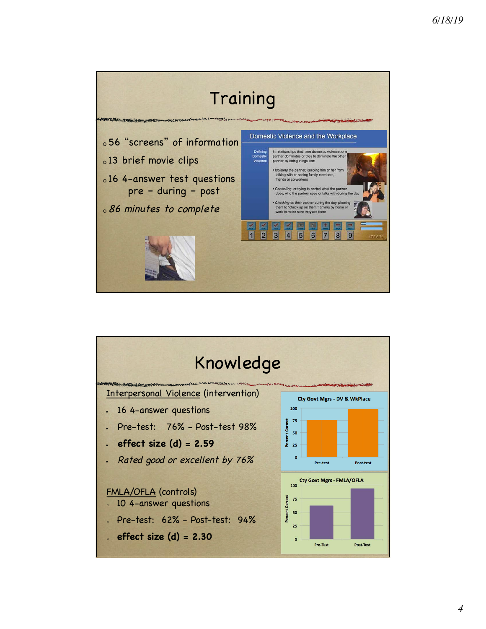

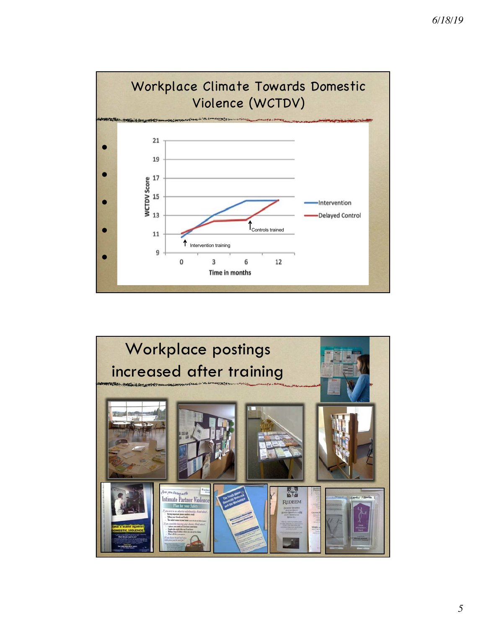

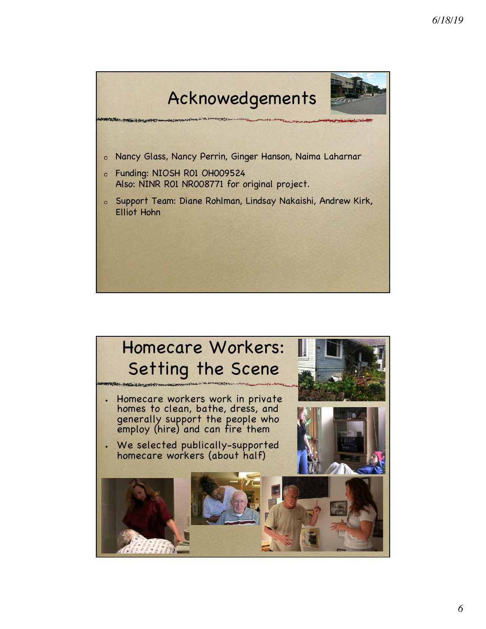

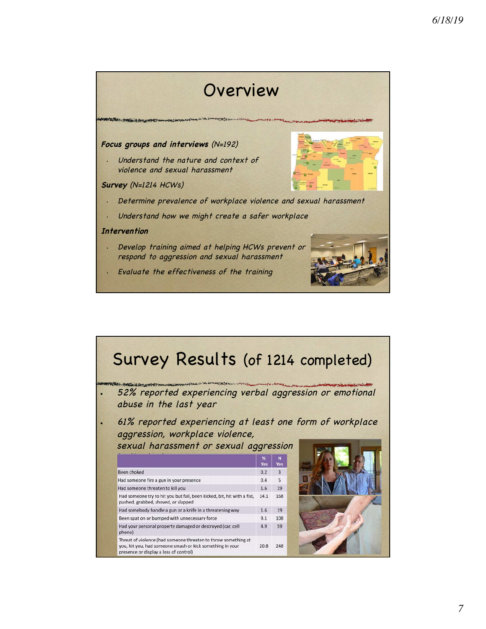## Overview

### **Focus groups and interviews** (N=192)

Understand the nature and context of violence and sexual harassment

#### **Survey** (N=1214 HCWs)

- Determine prevalence of workplace violence and sexual harassment
- Understand how we might create a safer workplace

#### **Intervention**

- Develop training aimed at helping HCWs prevent or respond to aggression and sexual harassment
- Evaluate the effectiveness of the training

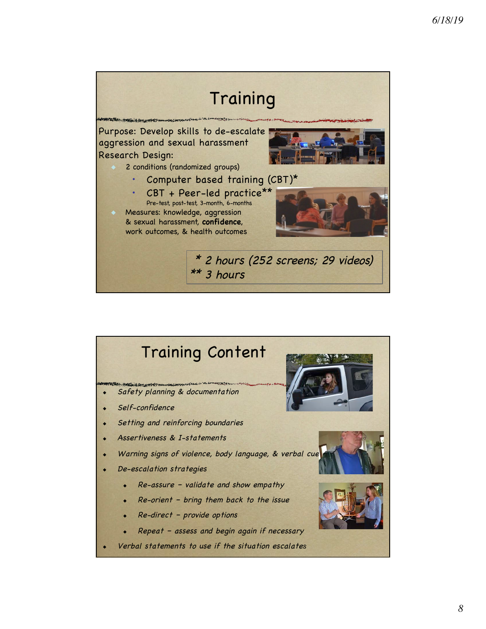

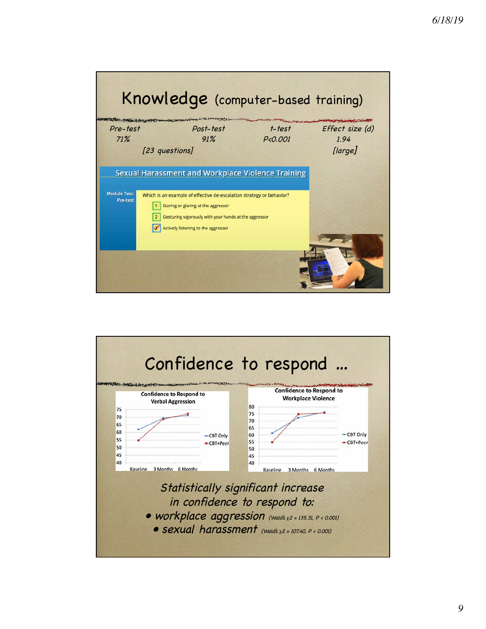|                                | Knowledge (computer-based training)                                                                                                                                                                                                                                        |                        |                                    |
|--------------------------------|----------------------------------------------------------------------------------------------------------------------------------------------------------------------------------------------------------------------------------------------------------------------------|------------------------|------------------------------------|
| Pre-test<br>71%                | <b>Control of the control of the Control of the Control of the Control of the Control of the Control of the Control of the Control of the Control of the Control of the Control of the Control of the Control of the Control of </b><br>Post-test<br>91%<br>[23 questions] | $t$ -test<br>P < 0.001 | Effect size (d)<br>1.94<br>[large] |
| <b>Module Two:</b><br>Pre-test | <b>Sexual Harassment and Workplace Violence Training</b><br>Which is an example of effective de-escalation strategy or behavior?<br>Staring or glaring at the aggressor<br>Gesturing vigorously with your hands at the aggressor<br>Actively listening to the aggressor    |                        |                                    |

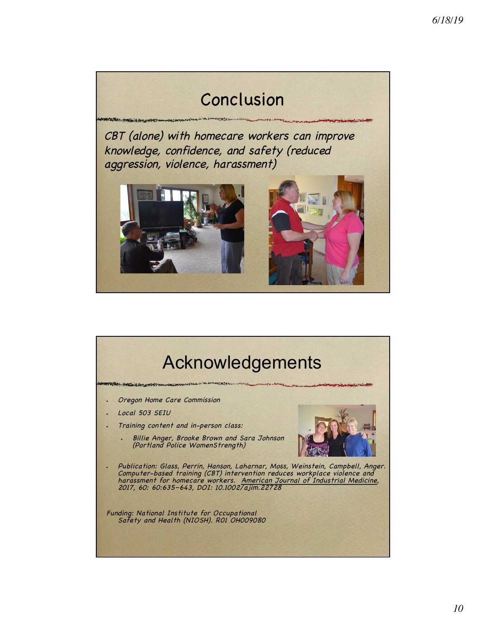# Conclusion

CBT (alone) with homecare workers can improve knowledge, confidence, and safety (reduced aggression, violence, harassment)